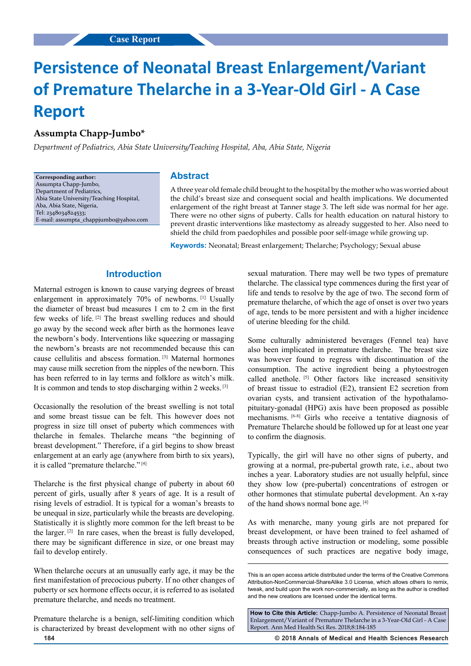# **Persistence of Neonatal Breast Enlargement/Variant of Premature Thelarche in a 3-Year-Old Girl - A Case Report**

## **Assumpta Chapp-Jumbo\***

*Department of Pediatrics, Abia State University/Teaching Hospital, Aba, Abia State, Nigeria*

**Corresponding author:** Assumpta Chapp-Jumbo, Department of Pediatrics, Abia State University/Teaching Hospital, Aba, Abia State, Nigeria, Tel: 2348034824533; E-mail: assumpta\_chappjumbo@yahoo.com

#### **Abstract**

A three year old female child brought to the hospital by the mother who was worried about the child's breast size and consequent social and health implications. We documented enlargement of the right breast at Tanner stage 3. The left side was normal for her age. There were no other signs of puberty. Calls for health education on natural history to prevent drastic interventions like mastectomy as already suggested to her. Also need to shield the child from paedophiles and possible poor self-image while growing up.

**Keywords:** Neonatal; Breast enlargement; Thelarche; Psychology; Sexual abuse

# **Introduction**

Maternal estrogen is known to cause varying degrees of breast enlargement in approximately 70% of newborns. <sup>[1]</sup> Usually the diameter of breast bud measures 1 cm to 2 cm in the first few weeks of life. [2] The breast swelling reduces and should go away by the second week after birth as the hormones leave the newborn's body. Interventions like squeezing or massaging the newborn's breasts are not recommended because this can cause cellulitis and abscess formation. [3] Maternal hormones may cause milk secretion from the nipples of the newborn. This has been referred to in lay terms and folklore as witch's milk. It is common and tends to stop discharging within 2 weeks. [3]

Occasionally the resolution of the breast swelling is not total and some breast tissue can be felt. This however does not progress in size till onset of puberty which commences with thelarche in females. Thelarche means "the beginning of breast development." Therefore, if a girl begins to show breast enlargement at an early age (anywhere from birth to six years), it is called "premature thelarche." [4]

Thelarche is the first physical change of puberty in about 60 percent of girls, usually after 8 years of age. It is a result of rising levels of estradiol. It is typical for a woman's breasts to be unequal in size, particularly while the breasts are developing. Statistically it is slightly more common for the left breast to be the larger. [2] In rare cases, when the breast is fully developed, there may be significant difference in size, or one breast may fail to develop entirely.

When thelarche occurs at an unusually early age, it may be the first manifestation of precocious puberty. If no other changes of puberty or sex hormone effects occur, it is referred to as isolated premature thelarche, and needs no treatment.

Premature thelarche is a benign, self-limiting condition which is characterized by breast development with no other signs of sexual maturation. There may well be two types of premature thelarche. The classical type commences during the first year of life and tends to resolve by the age of two. The second form of premature thelarche, of which the age of onset is over two years of age, tends to be more persistent and with a higher incidence of uterine bleeding for the child.

Some culturally administered beverages (Fennel tea) have also been implicated in premature thelarche. The breast size was however found to regress with discontinuation of the consumption. The active ingredient being a phytoestrogen called anethole. <a>[5]</a> Other factors like increased sensitivity of breast tissue to estradiol (E2), transient E2 secretion from ovarian cysts, and transient activation of the hypothalamopituitary-gonadal (HPG) axis have been proposed as possible mechanisms. [6-8] Girls who receive a tentative diagnosis of Premature Thelarche should be followed up for at least one year to confirm the diagnosis.

Typically, the girl will have no other signs of puberty, and growing at a normal, pre-pubertal growth rate, i.e., about two inches a year. Laboratory studies are not usually helpful, since they show low (pre-pubertal) concentrations of estrogen or other hormones that stimulate pubertal development. An x-ray of the hand shows normal bone age. [4]

As with menarche, many young girls are not prepared for breast development, or have been trained to feel ashamed of breasts through active instruction or modeling, some possible consequences of such practices are negative body image,

**How to Cite this Article:** Chapp-Jumbo A. Persistence of Neonatal Breast Enlargement/Variant of Premature Thelarche in a 3-Year-Old Girl - A Case Report. Ann Med Health Sci Res. 2018;8:184-185

**184 © 2018 Annals of Medical and Health Sciences Research** 

This is an open access article distributed under the terms of the Creative Commons Attribution‑NonCommercial‑ShareAlike 3.0 License, which allows others to remix, tweak, and build upon the work non-commercially, as long as the author is credited and the new creations are licensed under the identical terms.